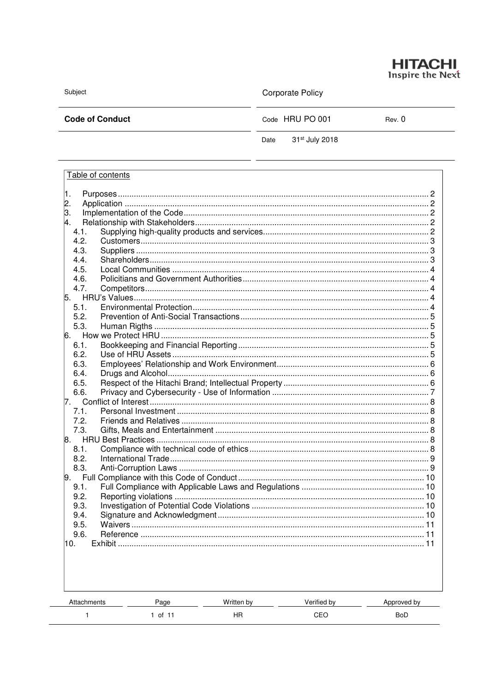

Subject

**Corporate Policy** 

**Code of Conduct** 

Code HRU PO 001

Rev. 0

31st July 2018 Date

| Table of contents                      |         |            |             |             |  |  |
|----------------------------------------|---------|------------|-------------|-------------|--|--|
| 1.                                     |         |            |             |             |  |  |
|                                        |         |            |             |             |  |  |
| $\begin{bmatrix} 2 \\ 3 \end{bmatrix}$ |         |            |             |             |  |  |
| 4.                                     |         |            |             |             |  |  |
| 4.1.                                   |         |            |             |             |  |  |
| 4.2.                                   |         |            |             |             |  |  |
| 4.3.                                   |         |            |             |             |  |  |
| 4.4.                                   |         |            |             |             |  |  |
| 4.5.                                   |         |            |             |             |  |  |
| 4.6.                                   |         |            |             |             |  |  |
| 4.7.                                   |         |            |             |             |  |  |
|                                        |         |            |             |             |  |  |
| 5.1.                                   |         |            |             |             |  |  |
| 5.2.                                   |         |            |             |             |  |  |
| 5.3.                                   |         |            |             |             |  |  |
| 6.                                     |         |            |             |             |  |  |
| 6.2.                                   | 6.1.    |            |             |             |  |  |
| 6.3.                                   |         |            |             |             |  |  |
| 6.4.                                   |         |            |             |             |  |  |
| 6.5.                                   |         |            |             |             |  |  |
| 6.6.                                   |         |            |             |             |  |  |
| 17.                                    |         |            |             |             |  |  |
| 7.1.                                   |         |            |             |             |  |  |
| 7.2.                                   |         |            |             |             |  |  |
| 7.3.                                   |         |            |             |             |  |  |
|                                        |         |            |             |             |  |  |
| 8.1.                                   |         |            |             |             |  |  |
| 8.2.                                   |         |            |             |             |  |  |
| 8.3.                                   |         |            |             |             |  |  |
| $\vert 9.$                             |         |            |             |             |  |  |
| 9.1.                                   |         |            |             |             |  |  |
|                                        | 9.2.    |            |             |             |  |  |
| 9.3.                                   |         |            |             |             |  |  |
|                                        | 9.4.    |            |             |             |  |  |
| 9.5.                                   |         |            |             |             |  |  |
| 9.6.                                   |         |            |             |             |  |  |
| 10.<br><b>Exhibit</b><br>. 11          |         |            |             |             |  |  |
|                                        |         |            |             |             |  |  |
|                                        |         |            |             |             |  |  |
|                                        |         |            |             |             |  |  |
|                                        |         |            |             |             |  |  |
| Attachments                            |         | Written by | Verified by |             |  |  |
|                                        | Page    |            |             | Approved by |  |  |
| 1                                      | 1 of 11 | HR         | CEO         | <b>BoD</b>  |  |  |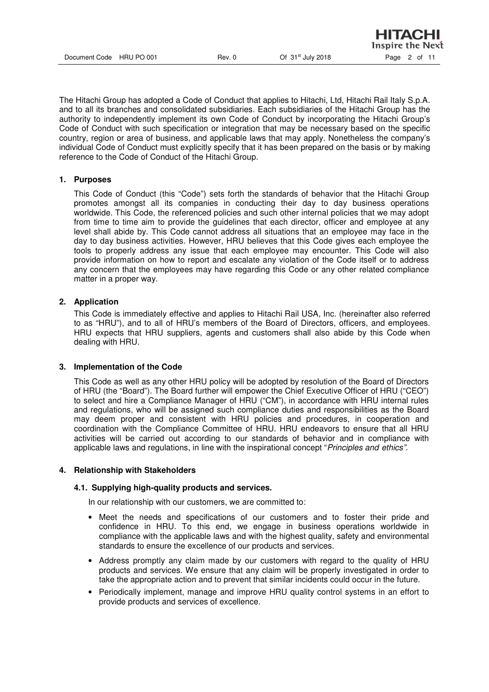The Hitachi Group has adopted a Code of Conduct that applies to Hitachi, Ltd, Hitachi Rail Italy S.p.A. and to all its branches and consolidated subsidiaries. Each subsidiaries of the Hitachi Group has the authority to independently implement its own Code of Conduct by incorporating the Hitachi Group's Code of Conduct with such specification or integration that may be necessary based on the specific country, region or area of business, and applicable laws that may apply. Nonetheless the company's individual Code of Conduct must explicitly specify that it has been prepared on the basis or by making reference to the Code of Conduct of the Hitachi Group.

### **1. Purposes**

This Code of Conduct (this "Code") sets forth the standards of behavior that the Hitachi Group promotes amongst all its companies in conducting their day to day business operations worldwide. This Code, the referenced policies and such other internal policies that we may adopt from time to time aim to provide the guidelines that each director, officer and employee at any level shall abide by. This Code cannot address all situations that an employee may face in the day to day business activities. However, HRU believes that this Code gives each employee the tools to properly address any issue that each employee may encounter. This Code will also provide information on how to report and escalate any violation of the Code itself or to address any concern that the employees may have regarding this Code or any other related compliance matter in a proper way.

# **2. Application**

This Code is immediately effective and applies to Hitachi Rail USA, Inc. (hereinafter also referred to as "HRU"), and to all of HRU's members of the Board of Directors, officers, and employees. HRU expects that HRU suppliers, agents and customers shall also abide by this Code when dealing with HRU.

### **3. Implementation of the Code**

This Code as well as any other HRU policy will be adopted by resolution of the Board of Directors of HRU (the "Board"). The Board further will empower the Chief Executive Officer of HRU ("CEO") to select and hire a Compliance Manager of HRU ("CM"), in accordance with HRU internal rules and regulations, who will be assigned such compliance duties and responsibilities as the Board may deem proper and consistent with HRU policies and procedures, in cooperation and coordination with the Compliance Committee of HRU. HRU endeavors to ensure that all HRU activities will be carried out according to our standards of behavior and in compliance with applicable laws and regulations, in line with the inspirational concept "Principles and ethics".

### **4. Relationship with Stakeholders**

### **4.1. Supplying high-quality products and services.**

In our relationship with our customers, we are committed to:

- Meet the needs and specifications of our customers and to foster their pride and confidence in HRU. To this end, we engage in business operations worldwide in compliance with the applicable laws and with the highest quality, safety and environmental standards to ensure the excellence of our products and services.
- Address promptly any claim made by our customers with regard to the quality of HRU products and services. We ensure that any claim will be properly investigated in order to take the appropriate action and to prevent that similar incidents could occur in the future.
- Periodically implement, manage and improve HRU quality control systems in an effort to provide products and services of excellence.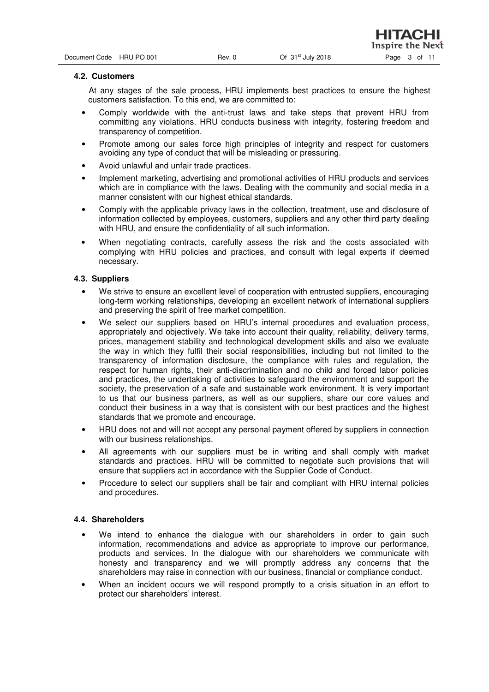НІТАСНІ

#### **4.2. Customers**

 At any stages of the sale process, HRU implements best practices to ensure the highest customers satisfaction. To this end, we are committed to:

- Comply worldwide with the anti-trust laws and take steps that prevent HRU from committing any violations. HRU conducts business with integrity, fostering freedom and transparency of competition.
- Promote among our sales force high principles of integrity and respect for customers avoiding any type of conduct that will be misleading or pressuring.
- Avoid unlawful and unfair trade practices.
- Implement marketing, advertising and promotional activities of HRU products and services which are in compliance with the laws. Dealing with the community and social media in a manner consistent with our highest ethical standards.
- Comply with the applicable privacy laws in the collection, treatment, use and disclosure of information collected by employees, customers, suppliers and any other third party dealing with HRU, and ensure the confidentiality of all such information.
- When negotiating contracts, carefully assess the risk and the costs associated with complying with HRU policies and practices, and consult with legal experts if deemed necessary.

#### **4.3. Suppliers**

- We strive to ensure an excellent level of cooperation with entrusted suppliers, encouraging long-term working relationships, developing an excellent network of international suppliers and preserving the spirit of free market competition.
- We select our suppliers based on HRU's internal procedures and evaluation process, appropriately and objectively. We take into account their quality, reliability, delivery terms, prices, management stability and technological development skills and also we evaluate the way in which they fulfil their social responsibilities, including but not limited to the transparency of information disclosure, the compliance with rules and regulation, the respect for human rights, their anti-discrimination and no child and forced labor policies and practices, the undertaking of activities to safeguard the environment and support the society, the preservation of a safe and sustainable work environment. It is very important to us that our business partners, as well as our suppliers, share our core values and conduct their business in a way that is consistent with our best practices and the highest standards that we promote and encourage.
- HRU does not and will not accept any personal payment offered by suppliers in connection with our business relationships.
- All agreements with our suppliers must be in writing and shall comply with market standards and practices. HRU will be committed to negotiate such provisions that will ensure that suppliers act in accordance with the Supplier Code of Conduct.
- Procedure to select our suppliers shall be fair and compliant with HRU internal policies and procedures.

#### **4.4. Shareholders**

- We intend to enhance the dialogue with our shareholders in order to gain such information, recommendations and advice as appropriate to improve our performance, products and services. In the dialogue with our shareholders we communicate with honesty and transparency and we will promptly address any concerns that the shareholders may raise in connection with our business, financial or compliance conduct.
- When an incident occurs we will respond promptly to a crisis situation in an effort to protect our shareholders' interest.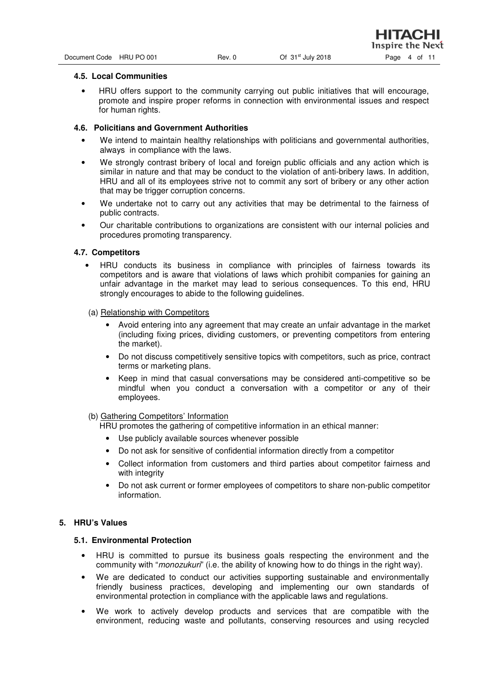#### **4.5. Local Communities**

• HRU offers support to the community carrying out public initiatives that will encourage, promote and inspire proper reforms in connection with environmental issues and respect for human rights.

#### **4.6. Policitians and Government Authorities**

- We intend to maintain healthy relationships with politicians and governmental authorities, always in compliance with the laws.
- We strongly contrast bribery of local and foreign public officials and any action which is similar in nature and that may be conduct to the violation of anti-bribery laws. In addition, HRU and all of its employees strive not to commit any sort of bribery or any other action that may be trigger corruption concerns.
- We undertake not to carry out any activities that may be detrimental to the fairness of public contracts.
- Our charitable contributions to organizations are consistent with our internal policies and procedures promoting transparency.

#### **4.7. Competitors**

- HRU conducts its business in compliance with principles of fairness towards its competitors and is aware that violations of laws which prohibit companies for gaining an unfair advantage in the market may lead to serious consequences. To this end, HRU strongly encourages to abide to the following guidelines.
- (a) Relationship with Competitors
	- Avoid entering into any agreement that may create an unfair advantage in the market (including fixing prices, dividing customers, or preventing competitors from entering the market).
	- Do not discuss competitively sensitive topics with competitors, such as price, contract terms or marketing plans.
	- Keep in mind that casual conversations may be considered anti-competitive so be mindful when you conduct a conversation with a competitor or any of their employees.

#### (b) Gathering Competitors' Information

HRU promotes the gathering of competitive information in an ethical manner:

- Use publicly available sources whenever possible
- Do not ask for sensitive of confidential information directly from a competitor
- Collect information from customers and third parties about competitor fairness and with integrity
- Do not ask current or former employees of competitors to share non-public competitor information.

### **5. HRU's Values**

#### **5.1. Environmental Protection**

- HRU is committed to pursue its business goals respecting the environment and the community with "*monozukuri*" (i.e. the ability of knowing how to do things in the right way).
- We are dedicated to conduct our activities supporting sustainable and environmentally friendly business practices, developing and implementing our own standards of environmental protection in compliance with the applicable laws and regulations.
- We work to actively develop products and services that are compatible with the environment, reducing waste and pollutants, conserving resources and using recycled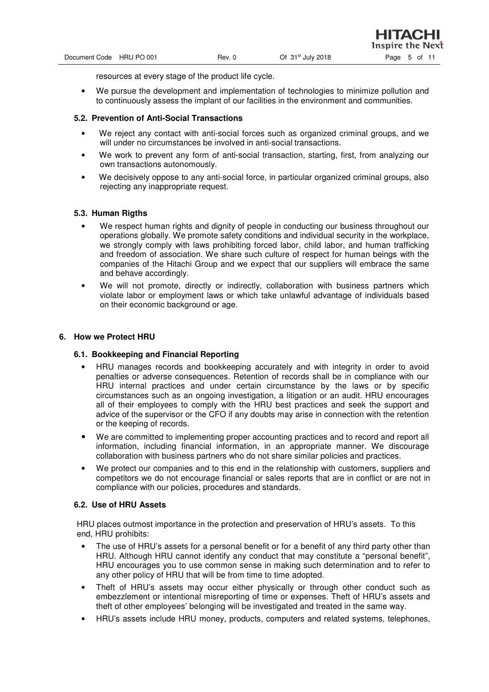resources at every stage of the product life cycle.

• We pursue the development and implementation of technologies to minimize pollution and to continuously assess the implant of our facilities in the environment and communities.

## **5.2. Prevention of Anti-Social Transactions**

- We reject any contact with anti-social forces such as organized criminal groups, and we will under no circumstances be involved in anti-social transactions.
- We work to prevent any form of anti-social transaction, starting, first, from analyzing our own transactions autonomously.
- We decisively oppose to any anti-social force, in particular organized criminal groups, also rejecting any inappropriate request.

# **5.3. Human Rigths**

- We respect human rights and dignity of people in conducting our business throughout our operations globally. We promote safety conditions and individual security in the workplace, we strongly comply with laws prohibiting forced labor, child labor, and human trafficking and freedom of association. We share such culture of respect for human beings with the companies of the Hitachi Group and we expect that our suppliers will embrace the same and behave accordingly.
- We will not promote, directly or indirectly, collaboration with business partners which violate labor or employment laws or which take unlawful advantage of individuals based on their economic background or age.

### **6. How we Protect HRU**

### **6.1. Bookkeeping and Financial Reporting**

- HRU manages records and bookkeeping accurately and with integrity in order to avoid penalties or adverse consequences. Retention of records shall be in compliance with our HRU internal practices and under certain circumstance by the laws or by specific circumstances such as an ongoing investigation, a litigation or an audit. HRU encourages all of their employees to comply with the HRU best practices and seek the support and advice of the supervisor or the CFO if any doubts may arise in connection with the retention or the keeping of records.
- We are committed to implementing proper accounting practices and to record and report all information, including financial information, in an appropriate manner. We discourage collaboration with business partners who do not share similar policies and practices.
- We protect our companies and to this end in the relationship with customers, suppliers and competitors we do not encourage financial or sales reports that are in conflict or are not in compliance with our policies, procedures and standards.

### **6.2. Use of HRU Assets**

HRU places outmost importance in the protection and preservation of HRU's assets. To this end, HRU prohibits:

- The use of HRU's assets for a personal benefit or for a benefit of any third party other than HRU. Although HRU cannot identify any conduct that may constitute a "personal benefit", HRU encourages you to use common sense in making such determination and to refer to any other policy of HRU that will be from time to time adopted.
- Theft of HRU's assets may occur either physically or through other conduct such as embezzlement or intentional misreporting of time or expenses. Theft of HRU's assets and theft of other employees' belonging will be investigated and treated in the same way.
- HRU's assets include HRU money, products, computers and related systems, telephones,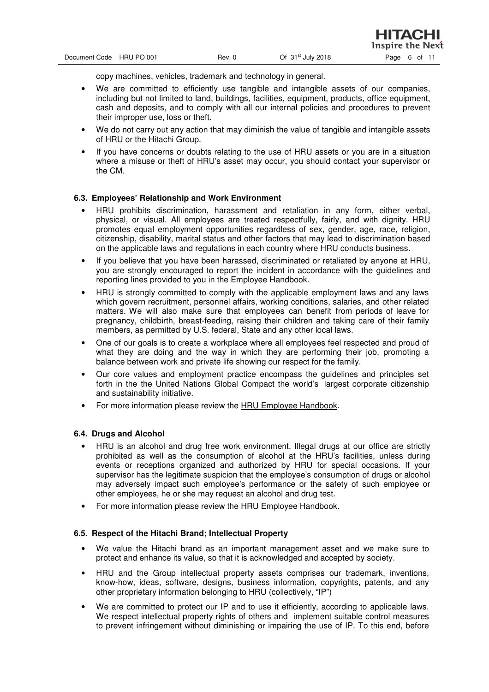нітасні

copy machines, vehicles, trademark and technology in general.

- We are committed to efficiently use tangible and intangible assets of our companies, including but not limited to land, buildings, facilities, equipment, products, office equipment, cash and deposits, and to comply with all our internal policies and procedures to prevent their improper use, loss or theft.
- We do not carry out any action that may diminish the value of tangible and intangible assets of HRU or the Hitachi Group.
- If you have concerns or doubts relating to the use of HRU assets or you are in a situation where a misuse or theft of HRU's asset may occur, you should contact your supervisor or the CM.

# **6.3. Employees' Relationship and Work Environment**

- HRU prohibits discrimination, harassment and retaliation in any form, either verbal, physical, or visual. All employees are treated respectfully, fairly, and with dignity. HRU promotes equal employment opportunities regardless of sex, gender, age, race, religion, citizenship, disability, marital status and other factors that may lead to discrimination based on the applicable laws and regulations in each country where HRU conducts business.
- If you believe that you have been harassed, discriminated or retaliated by anyone at HRU. you are strongly encouraged to report the incident in accordance with the guidelines and reporting lines provided to you in the Employee Handbook.
- HRU is strongly committed to comply with the applicable employment laws and any laws which govern recruitment, personnel affairs, working conditions, salaries, and other related matters. We will also make sure that employees can benefit from periods of leave for pregnancy, childbirth, breast-feeding, raising their children and taking care of their family members, as permitted by U.S. federal, State and any other local laws.
- One of our goals is to create a workplace where all employees feel respected and proud of what they are doing and the way in which they are performing their job, promoting a balance between work and private life showing our respect for the family.
- Our core values and employment practice encompass the guidelines and principles set forth in the the United Nations Global Compact the world's largest corporate citizenship and sustainability initiative.
- For more information please review the HRU Employee Handbook.

### **6.4. Drugs and Alcohol**

- HRU is an alcohol and drug free work environment. Illegal drugs at our office are strictly prohibited as well as the consumption of alcohol at the HRU's facilities, unless during events or receptions organized and authorized by HRU for special occasions. If your supervisor has the legitimate suspicion that the employee's consumption of drugs or alcohol may adversely impact such employee's performance or the safety of such employee or other employees, he or she may request an alcohol and drug test.
- For more information please review the HRU Employee Handbook.

# **6.5. Respect of the Hitachi Brand; Intellectual Property**

- We value the Hitachi brand as an important management asset and we make sure to protect and enhance its value, so that it is acknowledged and accepted by society.
- HRU and the Group intellectual property assets comprises our trademark, inventions, know-how, ideas, software, designs, business information, copyrights, patents, and any other proprietary information belonging to HRU (collectively, "IP")
- We are committed to protect our IP and to use it efficiently, according to applicable laws. We respect intellectual property rights of others and implement suitable control measures to prevent infringement without diminishing or impairing the use of IP. To this end, before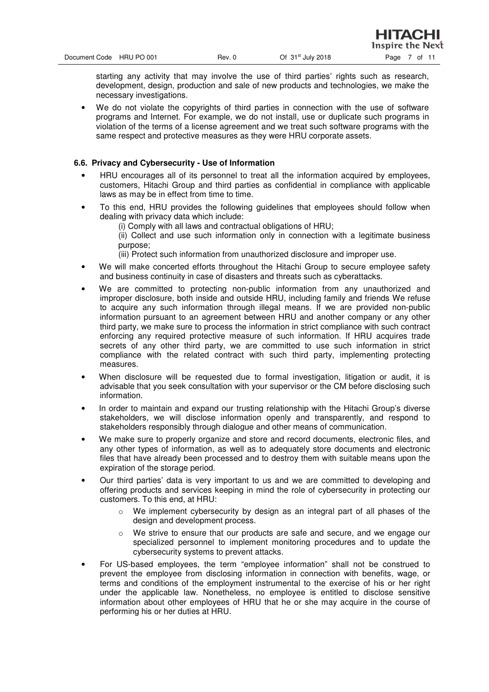Inspire the Next

starting any activity that may involve the use of third parties' rights such as research, development, design, production and sale of new products and technologies, we make the necessary investigations.

• We do not violate the copyrights of third parties in connection with the use of software programs and Internet. For example, we do not install, use or duplicate such programs in violation of the terms of a license agreement and we treat such software programs with the same respect and protective measures as they were HRU corporate assets.

# **6.6. Privacy and Cybersecurity - Use of Information**

- HRU encourages all of its personnel to treat all the information acquired by employees, customers, Hitachi Group and third parties as confidential in compliance with applicable laws as may be in effect from time to time.
- To this end, HRU provides the following guidelines that employees should follow when dealing with privacy data which include:
	- (i) Comply with all laws and contractual obligations of HRU;
	- (ii) Collect and use such information only in connection with a legitimate business purpose;

(iii) Protect such information from unauthorized disclosure and improper use.

- We will make concerted efforts throughout the Hitachi Group to secure employee safety and business continuity in case of disasters and threats such as cyberattacks.
- We are committed to protecting non-public information from any unauthorized and improper disclosure, both inside and outside HRU, including family and friends We refuse to acquire any such information through illegal means. If we are provided non-public information pursuant to an agreement between HRU and another company or any other third party, we make sure to process the information in strict compliance with such contract enforcing any required protective measure of such information. If HRU acquires trade secrets of any other third party, we are committed to use such information in strict compliance with the related contract with such third party, implementing protecting measures.
- When disclosure will be requested due to formal investigation, litigation or audit, it is advisable that you seek consultation with your supervisor or the CM before disclosing such information.
- In order to maintain and expand our trusting relationship with the Hitachi Group's diverse stakeholders, we will disclose information openly and transparently, and respond to stakeholders responsibly through dialogue and other means of communication.
- We make sure to properly organize and store and record documents, electronic files, and any other types of information, as well as to adequately store documents and electronic files that have already been processed and to destroy them with suitable means upon the expiration of the storage period.
- Our third parties' data is very important to us and we are committed to developing and offering products and services keeping in mind the role of cybersecurity in protecting our customers. To this end, at HRU:
	- $\circ$  We implement cybersecurity by design as an integral part of all phases of the design and development process.
	- $\circ$  We strive to ensure that our products are safe and secure, and we engage our specialized personnel to implement monitoring procedures and to update the cybersecurity systems to prevent attacks.
- For US-based employees, the term "employee information" shall not be construed to prevent the employee from disclosing information in connection with benefits, wage, or terms and conditions of the employment instrumental to the exercise of his or her right under the applicable law. Nonetheless, no employee is entitled to disclose sensitive information about other employees of HRU that he or she may acquire in the course of performing his or her duties at HRU.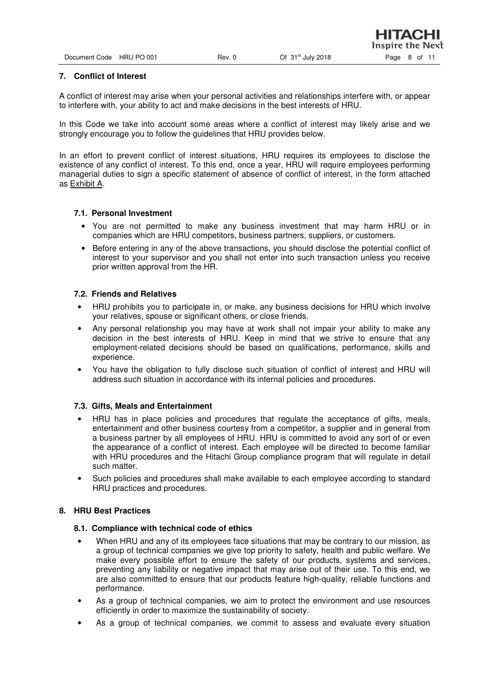| Document Code | <b>HRU PO 001</b> |
|---------------|-------------------|
|               |                   |

## **7. Conflict of Interest**

A conflict of interest may arise when your personal activities and relationships interfere with, or appear to interfere with, your ability to act and make decisions in the best interests of HRU.

In this Code we take into account some areas where a conflict of interest may likely arise and we strongly encourage you to follow the guidelines that HRU provides below.

In an effort to prevent conflict of interest situations, HRU requires its employees to disclose the existence of any conflict of interest. To this end, once a year, HRU will require employees performing managerial duties to sign a specific statement of absence of conflict of interest, in the form attached as Exhibit A.

# **7.1. Personal Investment**

- You are not permitted to make any business investment that may harm HRU or in companies which are HRU competitors, business partners, suppliers, or customers.
- Before entering in any of the above transactions, you should disclose the potential conflict of interest to your supervisor and you shall not enter into such transaction unless you receive prior written approval from the HR.

# **7.2. Friends and Relatives**

- HRU prohibits you to participate in, or make, any business decisions for HRU which involve your relatives, spouse or significant others, or close friends.
- Any personal relationship you may have at work shall not impair your ability to make any decision in the best interests of HRU. Keep in mind that we strive to ensure that any employment-related decisions should be based on qualifications, performance, skills and experience.
- You have the obligation to fully disclose such situation of conflict of interest and HRU will address such situation in accordance with its internal policies and procedures.

### **7.3. Gifts, Meals and Entertainment**

- HRU has in place policies and procedures that regulate the acceptance of gifts, meals, entertainment and other business courtesy from a competitor, a supplier and in general from a business partner by all employees of HRU. HRU is committed to avoid any sort of or even the appearance of a conflict of interest. Each employee will be directed to become familiar with HRU procedures and the Hitachi Group compliance program that will regulate in detail such matter.
- Such policies and procedures shall make available to each employee according to standard HRU practices and procedures.

# **8. HRU Best Practices**

### **8.1. Compliance with technical code of ethics**

- When HRU and any of its employees face situations that may be contrary to our mission, as a group of technical companies we give top priority to safety, health and public welfare. We make every possible effort to ensure the safety of our products, systems and services, preventing any liability or negative impact that may arise out of their use. To this end, we are also committed to ensure that our products feature high-quality, reliable functions and performance.
- As a group of technical companies, we aim to protect the environment and use resources efficiently in order to maximize the sustainability of society.
- As a group of technical companies, we commit to assess and evaluate every situation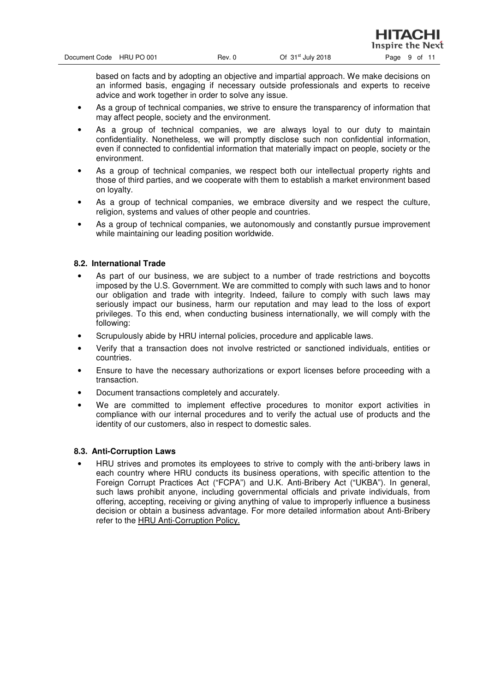нітасні

based on facts and by adopting an objective and impartial approach. We make decisions on an informed basis, engaging if necessary outside professionals and experts to receive advice and work together in order to solve any issue.

- As a group of technical companies, we strive to ensure the transparency of information that may affect people, society and the environment.
- As a group of technical companies, we are always loyal to our duty to maintain confidentiality. Nonetheless, we will promptly disclose such non confidential information, even if connected to confidential information that materially impact on people, society or the environment.
- As a group of technical companies, we respect both our intellectual property rights and those of third parties, and we cooperate with them to establish a market environment based on loyalty.
- As a group of technical companies, we embrace diversity and we respect the culture, religion, systems and values of other people and countries.
- As a group of technical companies, we autonomously and constantly pursue improvement while maintaining our leading position worldwide.

# **8.2. International Trade**

- As part of our business, we are subject to a number of trade restrictions and boycotts imposed by the U.S. Government. We are committed to comply with such laws and to honor our obligation and trade with integrity. Indeed, failure to comply with such laws may seriously impact our business, harm our reputation and may lead to the loss of export privileges. To this end, when conducting business internationally, we will comply with the following:
- Scrupulously abide by HRU internal policies, procedure and applicable laws.
- Verify that a transaction does not involve restricted or sanctioned individuals, entities or countries.
- Ensure to have the necessary authorizations or export licenses before proceeding with a transaction.
- Document transactions completely and accurately.
- We are committed to implement effective procedures to monitor export activities in compliance with our internal procedures and to verify the actual use of products and the identity of our customers, also in respect to domestic sales.

### **8.3. Anti-Corruption Laws**

• HRU strives and promotes its employees to strive to comply with the anti-bribery laws in each country where HRU conducts its business operations, with specific attention to the Foreign Corrupt Practices Act ("FCPA") and U.K. Anti-Bribery Act ("UKBA"). In general, such laws prohibit anyone, including governmental officials and private individuals, from offering, accepting, receiving or giving anything of value to improperly influence a business decision or obtain a business advantage. For more detailed information about Anti-Bribery refer to the HRU Anti-Corruption Policy.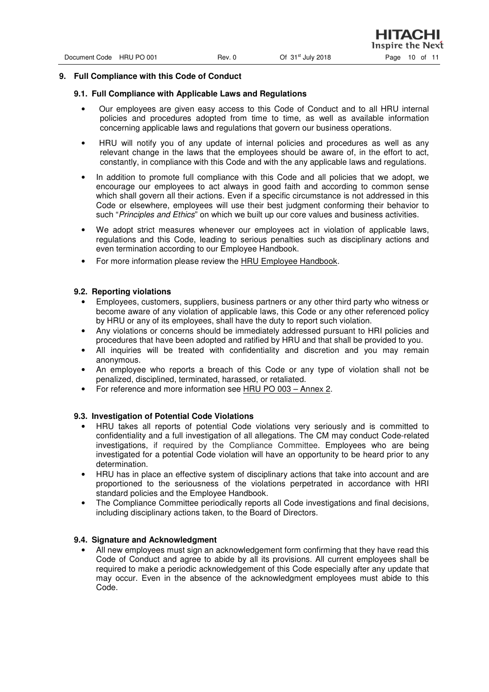### **9. Full Compliance with this Code of Conduct**

#### **9.1. Full Compliance with Applicable Laws and Regulations**

- Our employees are given easy access to this Code of Conduct and to all HRU internal policies and procedures adopted from time to time, as well as available information concerning applicable laws and regulations that govern our business operations.
- HRU will notify you of any update of internal policies and procedures as well as any relevant change in the laws that the employees should be aware of, in the effort to act, constantly, in compliance with this Code and with the any applicable laws and regulations.
- In addition to promote full compliance with this Code and all policies that we adopt, we encourage our employees to act always in good faith and according to common sense which shall govern all their actions. Even if a specific circumstance is not addressed in this Code or elsewhere, employees will use their best judgment conforming their behavior to such "Principles and Ethics" on which we built up our core values and business activities.
- We adopt strict measures whenever our employees act in violation of applicable laws, regulations and this Code, leading to serious penalties such as disciplinary actions and even termination according to our Employee Handbook.
- For more information please review the HRU Employee Handbook.

#### **9.2. Reporting violations**

- Employees, customers, suppliers, business partners or any other third party who witness or become aware of any violation of applicable laws, this Code or any other referenced policy by HRU or any of its employees, shall have the duty to report such violation.
- Any violations or concerns should be immediately addressed pursuant to HRI policies and procedures that have been adopted and ratified by HRU and that shall be provided to you.
- All inquiries will be treated with confidentiality and discretion and you may remain anonymous.
- An employee who reports a breach of this Code or any type of violation shall not be penalized, disciplined, terminated, harassed, or retaliated.
- For reference and more information see HRU PO 003 Annex 2.

### **9.3. Investigation of Potential Code Violations**

- HRU takes all reports of potential Code violations very seriously and is committed to confidentiality and a full investigation of all allegations. The CM may conduct Code-related investigations, if required by the Compliance Committee. Employees who are being investigated for a potential Code violation will have an opportunity to be heard prior to any determination.
- HRU has in place an effective system of disciplinary actions that take into account and are proportioned to the seriousness of the violations perpetrated in accordance with HRI standard policies and the Employee Handbook.
- The Compliance Committee periodically reports all Code investigations and final decisions, including disciplinary actions taken, to the Board of Directors.

#### **9.4. Signature and Acknowledgment**

• All new employees must sign an acknowledgement form confirming that they have read this Code of Conduct and agree to abide by all its provisions. All current employees shall be required to make a periodic acknowledgement of this Code especially after any update that may occur. Even in the absence of the acknowledgment employees must abide to this Code.